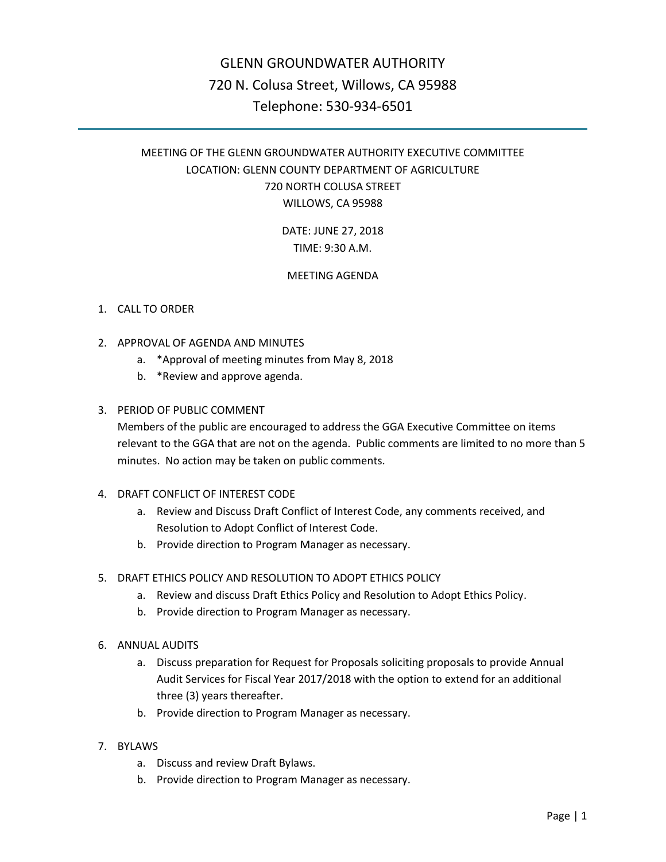# GLENN GROUNDWATER AUTHORITY 720 N. Colusa Street, Willows, CA 95988 Telephone: 530-934-6501

# MEETING OF THE GLENN GROUNDWATER AUTHORITY EXECUTIVE COMMITTEE LOCATION: GLENN COUNTY DEPARTMENT OF AGRICULTURE 720 NORTH COLUSA STREET WILLOWS, CA 95988

DATE: JUNE 27, 2018 TIME: 9:30 A.M.

## MEETING AGENDA

### 1. CALL TO ORDER

- 2. APPROVAL OF AGENDA AND MINUTES
	- a. \*Approval of meeting minutes from May 8, 2018
	- b. \*Review and approve agenda.

#### 3. PERIOD OF PUBLIC COMMENT

Members of the public are encouraged to address the GGA Executive Committee on items relevant to the GGA that are not on the agenda. Public comments are limited to no more than 5 minutes. No action may be taken on public comments.

- 4. DRAFT CONFLICT OF INTEREST CODE
	- a. Review and Discuss Draft Conflict of Interest Code, any comments received, and Resolution to Adopt Conflict of Interest Code.
	- b. Provide direction to Program Manager as necessary.
- 5. DRAFT ETHICS POLICY AND RESOLUTION TO ADOPT ETHICS POLICY
	- a. Review and discuss Draft Ethics Policy and Resolution to Adopt Ethics Policy.
	- b. Provide direction to Program Manager as necessary.
- 6. ANNUAL AUDITS
	- a. Discuss preparation for Request for Proposals soliciting proposals to provide Annual Audit Services for Fiscal Year 2017/2018 with the option to extend for an additional three (3) years thereafter.
	- b. Provide direction to Program Manager as necessary.
- 7. BYLAWS
	- a. Discuss and review Draft Bylaws.
	- b. Provide direction to Program Manager as necessary.